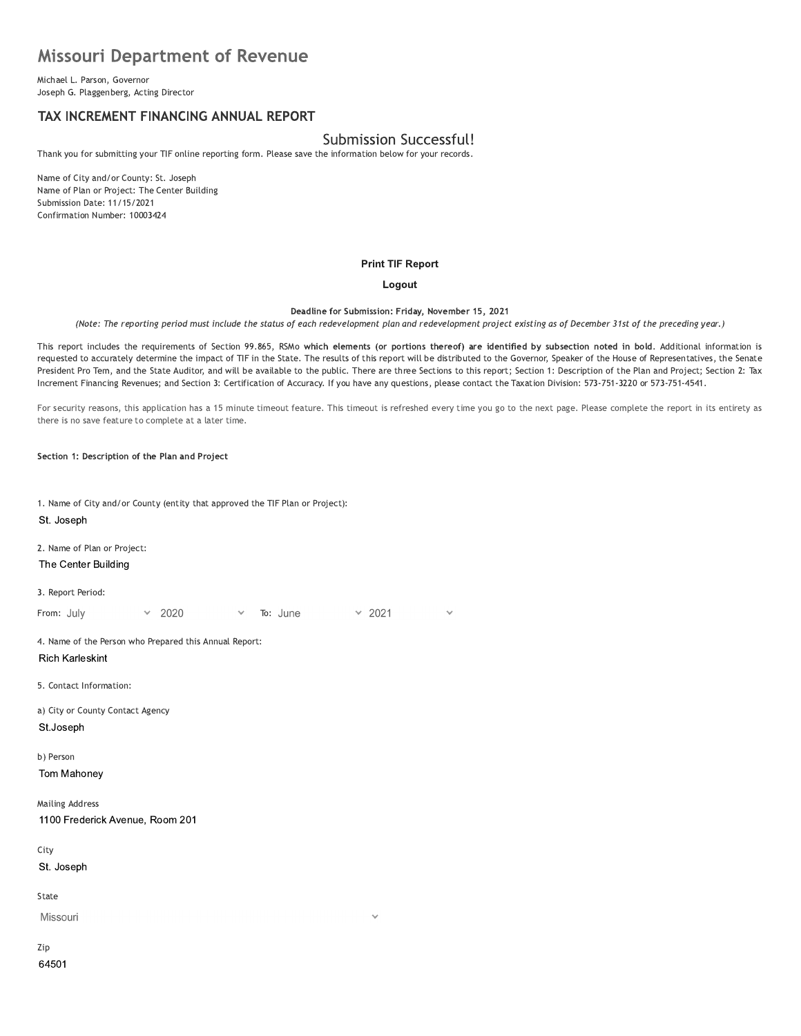# **Missouri Department of Revenue**

Michael L. Parson, Governor Joseph G. Plaggenberg, Acting Director

# TAX INCREMENT FINANCING ANNUAL REPORT

# **Submission Successful!**

Thank you for submitting your TIF online reporting form. Please save the information below for your records.

Name of City and/or County: St. Joseph Name of Plan or Project: The Center Building Submission Date: 11/15/2021 Confirmation Number: 10003424

#### **Print TIF Report**

#### Logout

Deadline for Submission: Friday, November 15, 2021

(Note: The reporting period must include the status of each redevelopment plan and redevelopment project existing as of December 31st of the preceding year.)

This report includes the requirements of Section 99.865, RSMo which elements (or portions thereof) are identified by subsection noted in bold. Additional information is requested to accurately determine the impact of TIF in the State. The results of this report will be distributed to the Governor, Speaker of the House of Representatives, the Senate President Pro Tem, and the State Auditor, and will be available to the public. There are three Sections to this report; Section 1: Description of the Plan and Project; Section 2: Tax Increment Financing Revenues; and Section 3: Certification of Accuracy. If you have any questions, please contact the Taxation Division: 573-751-3220 or 573-751-4541.

For security reasons, this application has a 15 minute timeout feature. This timeout is refreshed every time you go to the next page. Please complete the report in its entirety as there is no save feature to complete at a later time.

Section 1: Description of the Plan and Project

| 1. Name of City and/or County (entity that approved the TIF Plan or Project):<br>St. Joseph |  |  |  |  |  |  |  |  |
|---------------------------------------------------------------------------------------------|--|--|--|--|--|--|--|--|
| 2. Name of Plan or Project:<br>The Center Building                                          |  |  |  |  |  |  |  |  |
| 3. Report Period:                                                                           |  |  |  |  |  |  |  |  |
| 2020<br>To: June<br>From: July<br>2021<br>$\vee$<br>$\checkmark$<br>$\checkmark$            |  |  |  |  |  |  |  |  |
| 4. Name of the Person who Prepared this Annual Report:<br><b>Rich Karleskint</b>            |  |  |  |  |  |  |  |  |
| 5. Contact Information:                                                                     |  |  |  |  |  |  |  |  |
| a) City or County Contact Agency<br>St.Joseph                                               |  |  |  |  |  |  |  |  |
| b) Person<br>Tom Mahoney                                                                    |  |  |  |  |  |  |  |  |
| <b>Mailing Address</b><br>1100 Frederick Avenue, Room 201                                   |  |  |  |  |  |  |  |  |
| City                                                                                        |  |  |  |  |  |  |  |  |
| St. Joseph                                                                                  |  |  |  |  |  |  |  |  |
| State                                                                                       |  |  |  |  |  |  |  |  |
| Missouri<br>$\checkmark$                                                                    |  |  |  |  |  |  |  |  |
| Zip<br>64501                                                                                |  |  |  |  |  |  |  |  |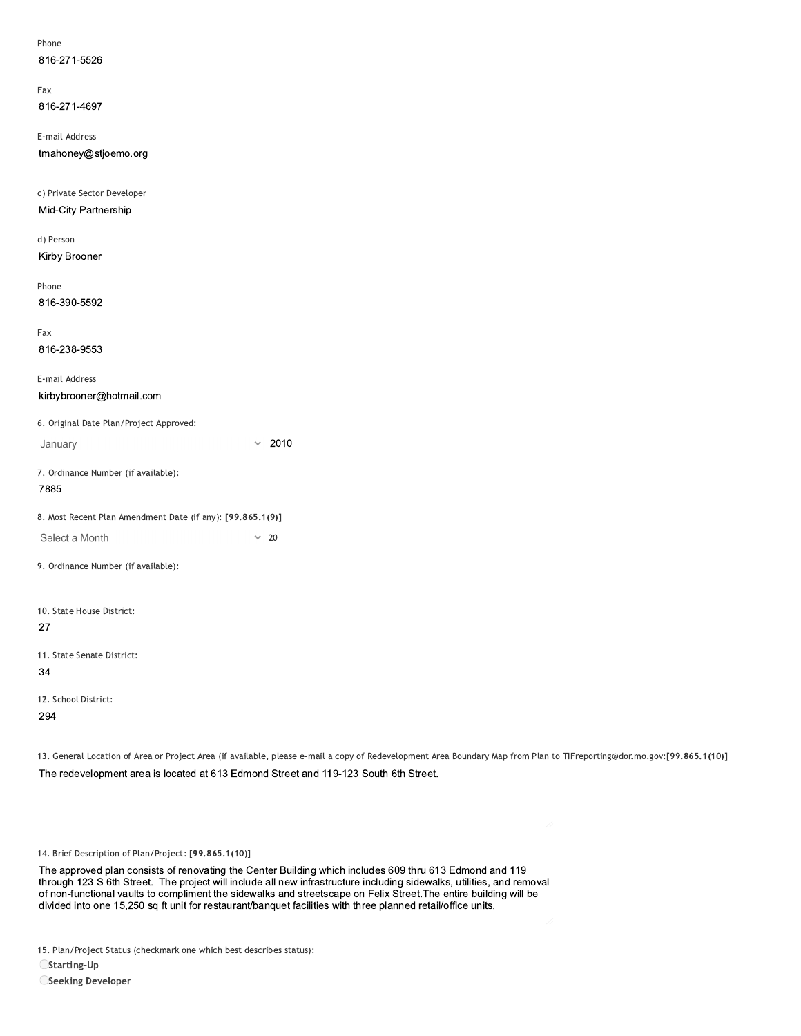| 816-271-5526                                               |                                                                                                                                  |
|------------------------------------------------------------|----------------------------------------------------------------------------------------------------------------------------------|
| Fax                                                        |                                                                                                                                  |
| 816-271-4697                                               |                                                                                                                                  |
| E-mail Address                                             |                                                                                                                                  |
| tmahoney@stjoemo.org                                       |                                                                                                                                  |
| c) Private Sector Developer                                |                                                                                                                                  |
| Mid-City Partnership                                       |                                                                                                                                  |
| d) Person                                                  |                                                                                                                                  |
| Kirby Brooner                                              |                                                                                                                                  |
| Phone                                                      |                                                                                                                                  |
| 816-390-5592                                               |                                                                                                                                  |
| Fax                                                        |                                                                                                                                  |
| 816-238-9553                                               |                                                                                                                                  |
| E-mail Address                                             |                                                                                                                                  |
| kirbybrooner@hotmail.com                                   |                                                                                                                                  |
| 6. Original Date Plan/Project Approved:                    |                                                                                                                                  |
| January                                                    | $\times$ 2010                                                                                                                    |
| 7. Ordinance Number (if available):                        |                                                                                                                                  |
| 7885                                                       |                                                                                                                                  |
| 8. Most Recent Plan Amendment Date (if any): [99.865.1(9)] |                                                                                                                                  |
| Select a Month                                             | $\times$ 20                                                                                                                      |
| 9. Ordinance Number (if available):                        |                                                                                                                                  |
|                                                            |                                                                                                                                  |
| 10. State House District:<br>27                            |                                                                                                                                  |
| 11. State Senate District:                                 |                                                                                                                                  |
| 34                                                         |                                                                                                                                  |
| 12. School District:                                       |                                                                                                                                  |
| 294                                                        |                                                                                                                                  |
|                                                            | 13. General Location of Area or Project Area (if available, please e-mail a copy of Redevelopment Area Boundary Map from Plan to |
|                                                            | The redevelopment area is located at 613 Edmond Street and 119-123 South 6th Street.                                             |
|                                                            |                                                                                                                                  |
|                                                            | 11                                                                                                                               |
| 14. Brief Description of Plan/Project: [99.865.1(10)]      |                                                                                                                                  |

13. General Location of Area or Project Area (if available, please e-mail a copy of Redevelopment Area Boundary Map from Plan to TIFreporting@dor.mo.gov:[99.865.1(10)] The redevelopment area is located at 613 Edmond Street and 119-123 South 6th Street.

I he approved plan consists of renovating the Center Building which includes buy thru 613 Edmond and 119 14. Brief Description of Plan/Project: [99.865.1(10)]<br>The approved plan consists of renovating the Center Building which includes 609 thru 613 Edmond and 119<br>The approved plan consists of renovating the Center Building wii of non-functional vaults to compliment the sidewalks and streetscape on Felix Street. The entire building will be divided into one 15,250 sq ft unit for restaurant/banquet facilities with three planned retail/office units. Description of Plan/Project: [99.865.1(10)]<br>proved plan consists of renovating the Center Building which includes 609 thru 613 Edmond and 119<br>123 S 6th Street. The project will include all new infrastructure including side 14. Brief Description of Plan/Project: [99.865.1(10)]<br>The approved plan consists of renovating the Center Building which includes 609 thru 613 Edmond and 119<br>through 123 S 6th Street. The project will include all new infra

15. Plan/Project Status (checkmark one which best describes status):

 $\bigcirc$ Starting-Up

OSeeking Developer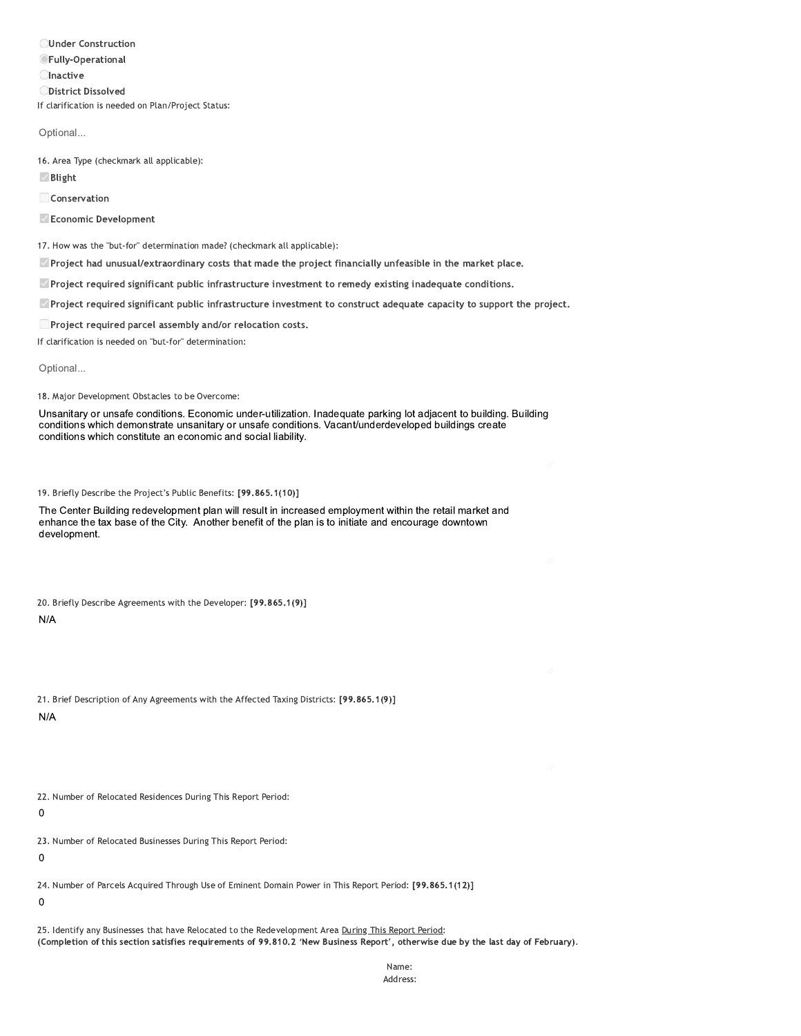**OUnder Construction OFully-Operational Olnactive ODistrict Dissolved** If clarification is needed on Plan/Project Status:

Optional...

16. Area Type (checkmark all applicable):

**Ø** Blight

Conservation

Economic Development

17. How was the "but-for" determination made? (checkmark all applicable):

Project had unusual/extraordinary costs that made the project financially unfeasible in the market place.

 $\Box$  Project required significant public infrastructure investment to remedy existing inadequate conditions.

Project required significant public infrastructure investment to construct adequate capacity to support the project.

□ Project required parcel assembly and/or relocation costs.

If clarification is needed on "but-for" determination:

Optional...

18. Major Development Obstacles to be Overcome:

Unsanitary or unsafe conditions. Economic under-utilization. Inadequate parking lot adjacent to building. Building conditions which demonstrate unsanitary or unsafe conditions. Vacant/underdeveloped buildings create conditions which constitute an economic and social liability.

19. Briefly Describe the Project's Public Benefits: [99.865.1(10)]

The Center Building redevelopment plan will result in increased employment within the retail market and enhance the tax base of the City. Another benefit of the plan is to initiate and encourage downtown development.

20. Briefly Describe Agreements with the Developer: [99.865.1(9)]

 $N/A$ 

|            |  | 21. Brief Description of Any Agreements with the Affected Taxing Districts: [99.865.1(9)] |  |  |  |  |
|------------|--|-------------------------------------------------------------------------------------------|--|--|--|--|
| <b>AIA</b> |  |                                                                                           |  |  |  |  |

 $N/A$ 

22. Number of Relocated Residences During This Report Period:

 $\mathbf 0$ 

23. Number of Relocated Businesses During This Report Period:

 $\mathbf 0$ 

24. Number of Parcels Acquired Through Use of Eminent Domain Power in This Report Period: [99.865.1(12)]

 $\mathbf 0$ 

25. Identify any Businesses that have Relocated to the Redevelopment Area During This Report Period: (Completion of this section satisfies requirements of 99.810.2 'New Business Report', otherwise due by the last day of February).

> Name: Address: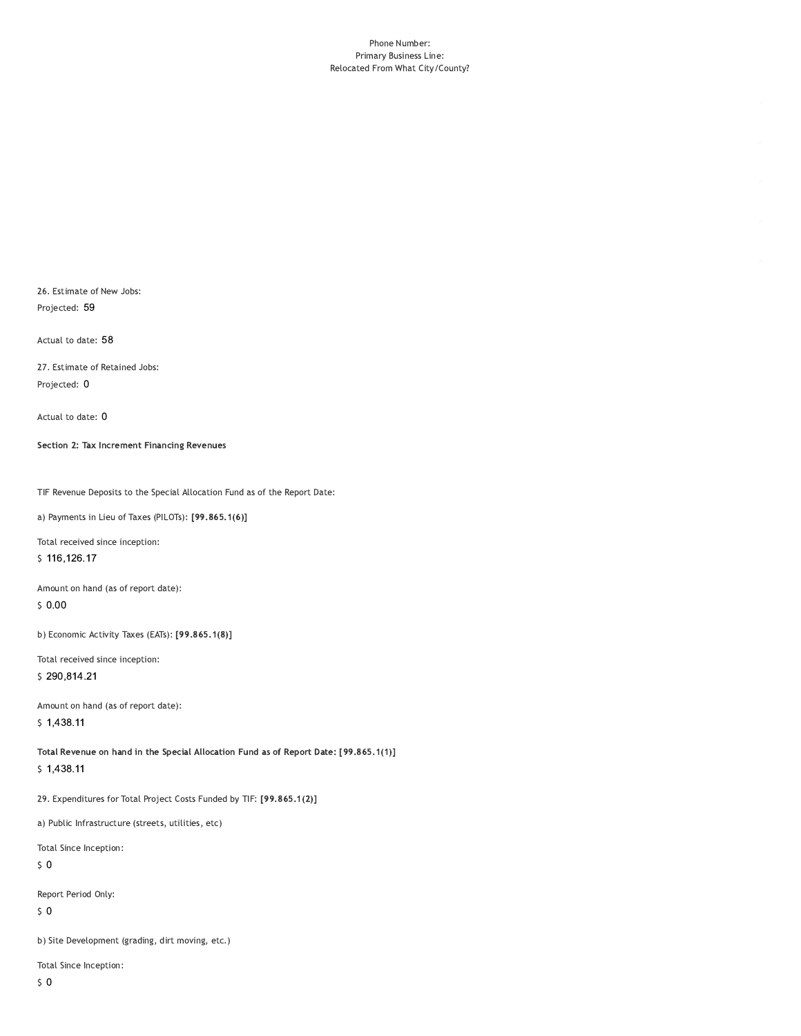#### Phone Number: Primary Business Line: Relocated From What City/County?

26. Estimate of New Jobs: Projected: 59

Actual to date: 58

27. Estimate of Retained Jobs: Projected: 0

Actual to date: 0

Section 2: Tax Increment Financing Revenues

TIF Revenue Deposits to the Special Allocation Fund as of the Report Date:

a) Payments in Lieu of Taxes (PILOTs): [99.865.1(6)]

Total received since inception: \$116,126.17

Amount on hand (as of report date):  $$0.00$ 

b) Economic Activity Taxes (EATs): [99.865.1(8)]

Total received since inception: \$290,814.21

Amount on hand (as of report date):  $$1,438.11$ 

Total Revenue on hand in the Special Allocation Fund as of Report Date: [99.865.1(1)]  $$1,438.11$ 

29. Expenditures for Total Project Costs Funded by TIF: [99.865.1(2)]

a) Public Infrastructure (streets, utilities, etc)

Total Since Inception:

 $\sqrt{5}$  O

Report Period Only:

 $\sqrt{5}$  O

b) Site Development (grading, dirt moving, etc.)

Total Since Inception: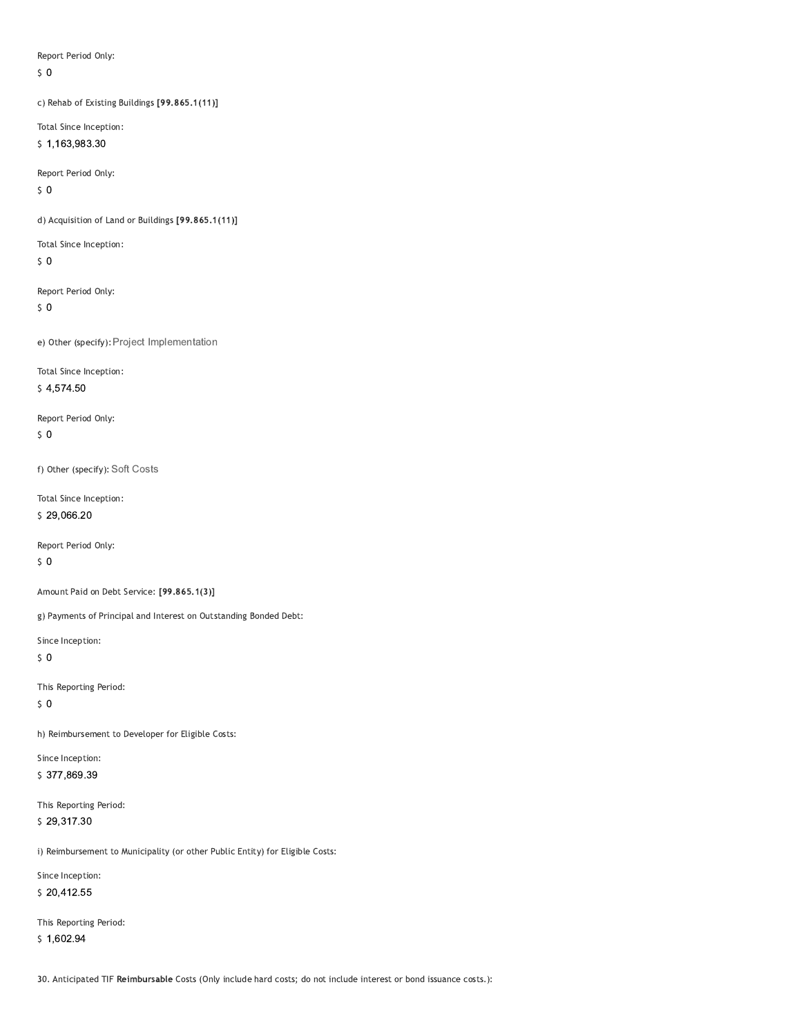Report Period Only:

 $\zeta$  0

c) Rehab of Existing Buildings [99.865.1(11)]

Total Since Inception: \$1,163,983.30

Report Period Only:

 $50$ 

d) Acquisition of Land or Buildings [99.865.1(11)]

Total Since Inception:

 $50$ 

Report Period Only:

 $\sqrt{5}$  O

e) Other (specify): Project Implementation

Total Since Inception:

\$4,574.50

Report Period Only:  $\zeta$  0

f) Other (specify): Soft Costs

Total Since Inception: \$29,066.20

Report Period Only:

 $\sqrt{5}$  O

Amount Paid on Debt Service: [99.865.1(3)]

g) Payments of Principal and Interest on Outstanding Bonded Debt:

Since Inception:

 $50$ 

This Reporting Period:

 $\sqrt{5}$  O

h) Reimbursement to Developer for Eligible Costs:

Since Inception: \$377,869.39

This Reporting Period: \$29,317.30

i) Reimbursement to Municipality (or other Public Entity) for Eligible Costs:

Since Inception:

\$20,412.55

This Reporting Period:  $$1,602.94$ 

30. Anticipated TIF Reimbursable Costs (Only include hard costs; do not include interest or bond issuance costs.):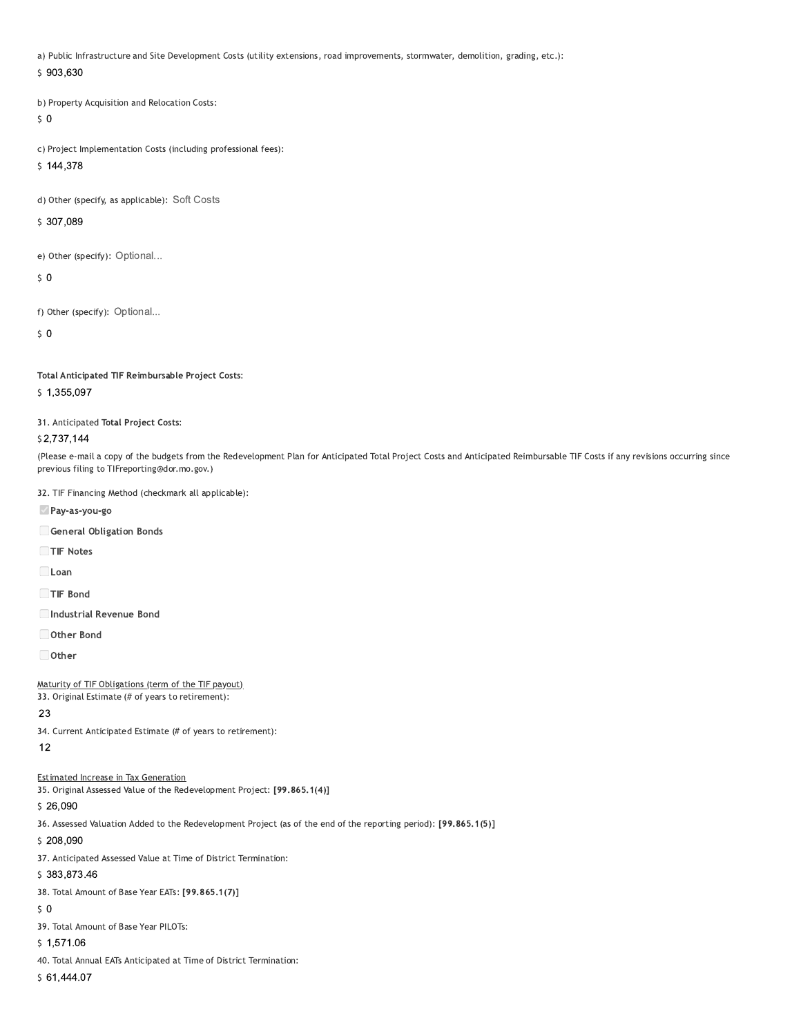a) Public Infrastructure and Site Development Costs (utility extensions, road improvements, stormwater, demolition, grading, etc.):

#### \$903,630

b) Property Acquisition and Relocation Costs:

 $50$ 

c) Project Implementation Costs (including professional fees):

 $$144,378$ 

d) Other (specify, as applicable): Soft Costs

\$307,089

e) Other (specify): Optional...

 $\mathsf{S}$  0

f) Other (specify): Optional...

 $\mathsf{S}$  0

Total Anticipated TIF Reimbursable Project Costs:

\$1,355,097

31. Anticipated Total Project Costs:

#### \$2,737,144

(Please e-mail a copy of the budgets from the Redevelopment Plan for Anticipated Total Project Costs and Anticipated Reimbursable TIF Costs if any revisions occurring since previous filing to TIFreporting@dor.mo.gov.)

32. TIF Financing Method (checkmark all applicable):

Pay-as-you-go

General Obligation Bonds

TIF Notes

 $\Box$ Loan

TIF Bond

Industrial Revenue Bond

Other Bond

 $\Box$  Other

Maturity of TIF Obligations (term of the TIF payout)

33. Original Estimate (# of years to retirement):

## 23

34. Current Anticipated Estimate (# of years to retirement):

### $12$

**Estimated Increase in Tax Generation** 

35. Original Assessed Value of the Redevelopment Project: [99.865.1(4)]

## \$26,090

36. Assessed Valuation Added to the Redevelopment Project (as of the end of the reporting period): [99.865.1(5)]

\$208,090

37. Anticipated Assessed Value at Time of District Termination:

#### \$383,873.46

38. Total Amount of Base Year EATs: [99.865.1(7)]

#### $50$

39. Total Amount of Base Year PILOTs:

 $$1,571.06$ 

40. Total Annual EATs Anticipated at Time of District Termination:

#### $$61,444.07$